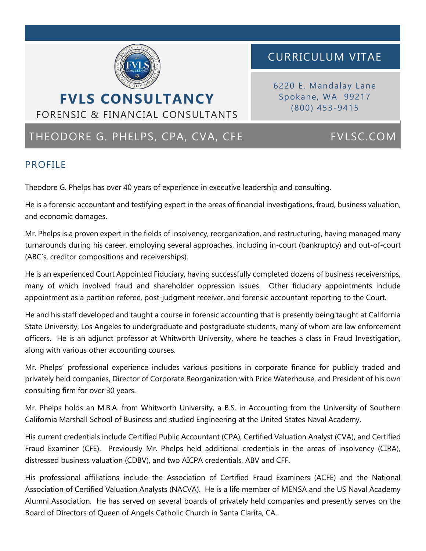

# CURRICULUM VITAE

6220 E. Mandalay Lane Spokane, WA 99217 (800) 453-9415

# THEODORE G. PHELPS, CPA, CVA, CFE FVLSC.COM

FORENSIC & FINANCIAL CONSULTANTS

## PROFILE

Theodore G. Phelps has over 40 years of experience in executive leadership and consulting.

He is a forensic accountant and testifying expert in the areas of financial investigations, fraud, business valuation, and economic damages.

Mr. Phelps is a proven expert in the fields of insolvency, reorganization, and restructuring, having managed many turnarounds during his career, employing several approaches, including in-court (bankruptcy) and out-of-court (ABC's, creditor compositions and receiverships).

He is an experienced Court Appointed Fiduciary, having successfully completed dozens of business receiverships, many of which involved fraud and shareholder oppression issues. Other fiduciary appointments include appointment as a partition referee, post-judgment receiver, and forensic accountant reporting to the Court.

He and his staff developed and taught a course in forensic accounting that is presently being taught at California State University, Los Angeles to undergraduate and postgraduate students, many of whom are law enforcement officers. He is an adjunct professor at Whitworth University, where he teaches a class in Fraud Investigation, along with various other accounting courses.

Mr. Phelps' professional experience includes various positions in corporate finance for publicly traded and privately held companies, Director of Corporate Reorganization with Price Waterhouse, and President of his own consulting firm for over 30 years.

Mr. Phelps holds an M.B.A. from Whitworth University, a B.S. in Accounting from the University of Southern California Marshall School of Business and studied Engineering at the United States Naval Academy.

His current credentials include Certified Public Accountant (CPA), Certified Valuation Analyst (CVA), and Certified Fraud Examiner (CFE). Previously Mr. Phelps held additional credentials in the areas of insolvency (CIRA), distressed business valuation (CDBV), and two AICPA credentials, ABV and CFF.

His professional affiliations include the Association of Certified Fraud Examiners (ACFE) and the National Association of Certified Valuation Analysts (NACVA). He is a life member of MENSA and the US Naval Academy Alumni Association. He has served on several boards of privately held companies and presently serves on the Board of Directors of Queen of Angels Catholic Church in Santa Clarita, CA.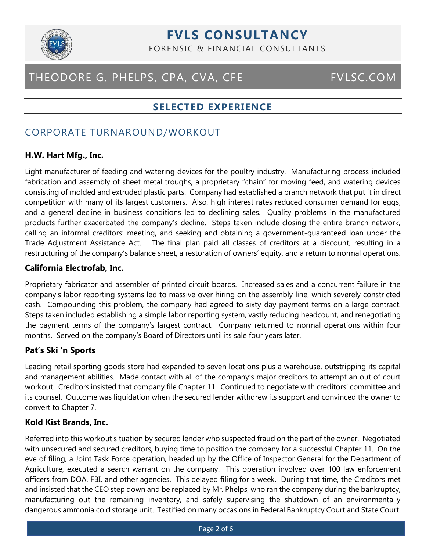

# **FVLS CONSULTANCY**

FORENSIC & FINANCIAL CONSULTANTS

# THEODORE G. PHELPS, CPA, CVA, CFE FVLSC.COM

## **SELECTED EXPERIENCE**

## CORPORATE TURNAROUND/WORKOUT

### **H.W. Hart Mfg., Inc.**

Light manufacturer of feeding and watering devices for the poultry industry. Manufacturing process included fabrication and assembly of sheet metal troughs, a proprietary "chain" for moving feed, and watering devices consisting of molded and extruded plastic parts. Company had established a branch network that put it in direct competition with many of its largest customers. Also, high interest rates reduced consumer demand for eggs, and a general decline in business conditions led to declining sales. Quality problems in the manufactured products further exacerbated the company's decline. Steps taken include closing the entire branch network, calling an informal creditors' meeting, and seeking and obtaining a government-guaranteed loan under the Trade Adjustment Assistance Act. The final plan paid all classes of creditors at a discount, resulting in a restructuring of the company's balance sheet, a restoration of owners' equity, and a return to normal operations.

### **California Electrofab, Inc.**

Proprietary fabricator and assembler of printed circuit boards. Increased sales and a concurrent failure in the company's labor reporting systems led to massive over hiring on the assembly line, which severely constricted cash. Compounding this problem, the company had agreed to sixty-day payment terms on a large contract. Steps taken included establishing a simple labor reporting system, vastly reducing headcount, and renegotiating the payment terms of the company's largest contract. Company returned to normal operations within four months. Served on the company's Board of Directors until its sale four years later.

### **Pat's Ski 'n Sports**

Leading retail sporting goods store had expanded to seven locations plus a warehouse, outstripping its capital and management abilities. Made contact with all of the company's major creditors to attempt an out of court workout. Creditors insisted that company file Chapter 11. Continued to negotiate with creditors' committee and its counsel. Outcome was liquidation when the secured lender withdrew its support and convinced the owner to convert to Chapter 7.

### **Kold Kist Brands, Inc.**

Referred into this workout situation by secured lender who suspected fraud on the part of the owner. Negotiated with unsecured and secured creditors, buying time to position the company for a successful Chapter 11. On the eve of filing, a Joint Task Force operation, headed up by the Office of Inspector General for the Department of Agriculture, executed a search warrant on the company. This operation involved over 100 law enforcement officers from DOA, FBI, and other agencies. This delayed filing for a week. During that time, the Creditors met and insisted that the CEO step down and be replaced by Mr. Phelps, who ran the company during the bankruptcy, manufacturing out the remaining inventory, and safely supervising the shutdown of an environmentally dangerous ammonia cold storage unit. Testified on many occasions in Federal Bankruptcy Court and State Court.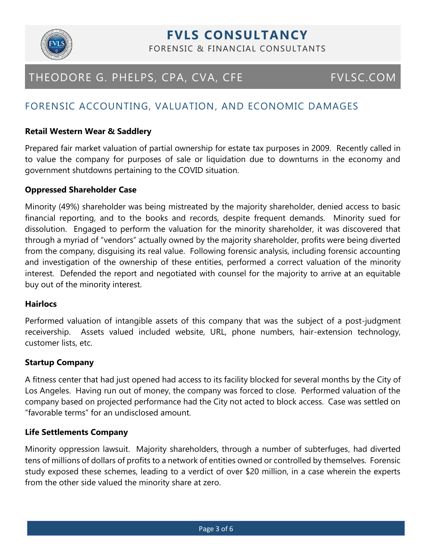

# **FVLS CONSULTANCY**

FORENSIC & FINANCIAL CONSULTANTS

# THEODORE G. PHELPS, CPA, CVA, CFE FVLSC.COM

## FORENSIC ACCOUNTING, VALUATION, AND ECONOMIC DAMAGES

### **Retail Western Wear & Saddlery**

Prepared fair market valuation of partial ownership for estate tax purposes in 2009. Recently called in to value the company for purposes of sale or liquidation due to downturns in the economy and government shutdowns pertaining to the COVID situation.

#### **Oppressed Shareholder Case**

Minority (49%) shareholder was being mistreated by the majority shareholder, denied access to basic financial reporting, and to the books and records, despite frequent demands. Minority sued for dissolution. Engaged to perform the valuation for the minority shareholder, it was discovered that through a myriad of "vendors" actually owned by the majority shareholder, profits were being diverted from the company, disguising its real value. Following forensic analysis, including forensic accounting and investigation of the ownership of these entities, performed a correct valuation of the minority interest. Defended the report and negotiated with counsel for the majority to arrive at an equitable buy out of the minority interest.

### **Hairlocs**

Performed valuation of intangible assets of this company that was the subject of a post-judgment receivership. Assets valued included website, URL, phone numbers, hair-extension technology, customer lists, etc.

### **Startup Company**

A fitness center that had just opened had access to its facility blocked for several months by the City of Los Angeles. Having run out of money, the company was forced to close. Performed valuation of the company based on projected performance had the City not acted to block access. Case was settled on "favorable terms" for an undisclosed amount.

### **Life Settlements Company**

Minority oppression lawsuit. Majority shareholders, through a number of subterfuges, had diverted tens of millions of dollars of profits to a network of entities owned or controlled by themselves. Forensic study exposed these schemes, leading to a verdict of over \$20 million, in a case wherein the experts from the other side valued the minority share at zero.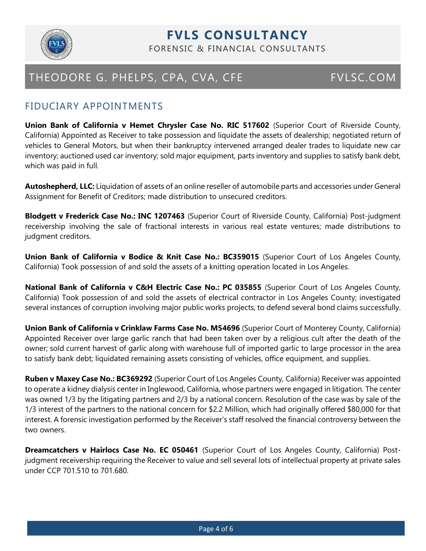

## **FVLS CONSULTANCY** FORENSIC & FINANCIAL CONSULTANTS

## FIDUCIARY APPOINTMENTS

**Union Bank of California v Hemet Chrysler Case No. RIC 517602** (Superior Court of Riverside County, California) Appointed as Receiver to take possession and liquidate the assets of dealership; negotiated return of vehicles to General Motors, but when their bankruptcy intervened arranged dealer trades to liquidate new car inventory; auctioned used car inventory; sold major equipment, parts inventory and supplies to satisfy bank debt, which was paid in full.

**Autoshepherd, LLC:** Liquidation of assets of an online reseller of automobile parts and accessories under General Assignment for Benefit of Creditors; made distribution to unsecured creditors.

**Blodgett v Frederick Case No.: INC 1207463** (Superior Court of Riverside County, California) Post-judgment receivership involving the sale of fractional interests in various real estate ventures; made distributions to judgment creditors.

**Union Bank of California v Bodice & Knit Case No.: BC359015** (Superior Court of Los Angeles County, California) Took possession of and sold the assets of a knitting operation located in Los Angeles.

**National Bank of California v C&H Electric Case No.: PC 035855** (Superior Court of Los Angeles County, California) Took possession of and sold the assets of electrical contractor in Los Angeles County; investigated several instances of corruption involving major public works projects, to defend several bond claims successfully.

**Union Bank of California v Crinklaw Farms Case No. M54696** (Superior Court of Monterey County, California) Appointed Receiver over large garlic ranch that had been taken over by a religious cult after the death of the owner; sold current harvest of garlic along with warehouse full of imported garlic to large processor in the area to satisfy bank debt; liquidated remaining assets consisting of vehicles, office equipment, and supplies.

**Ruben v Maxey Case No.: BC369292** (Superior Court of Los Angeles County, California) Receiver was appointed to operate a kidney dialysis center in Inglewood, California, whose partners were engaged in litigation. The center was owned 1/3 by the litigating partners and 2/3 by a national concern. Resolution of the case was by sale of the 1/3 interest of the partners to the national concern for \$2.2 Million, which had originally offered \$80,000 for that interest. A forensic investigation performed by the Receiver's staff resolved the financial controversy between the two owners.

**Dreamcatchers v Hairlocs Case No. EC 050461** (Superior Court of Los Angeles County, California) Postjudgment receivership requiring the Receiver to value and sell several lots of intellectual property at private sales under CCP 701.510 to 701.680.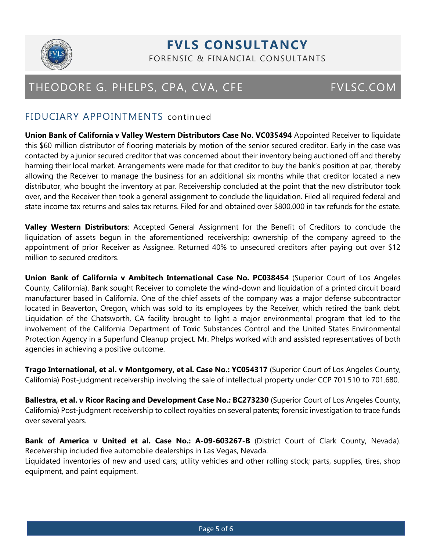

## **FVLS CONSULTANCY** FORENSIC & FINANCIAL CONSULTANTS

# THEODORE G. PHELPS, CPA, CVA, CFE FVLSC.COM

## FIDUCIARY APPOINTMENTS continued

**Union Bank of California v Valley Western Distributors Case No. VC035494** Appointed Receiver to liquidate this \$60 million distributor of flooring materials by motion of the senior secured creditor. Early in the case was contacted by a junior secured creditor that was concerned about their inventory being auctioned off and thereby harming their local market. Arrangements were made for that creditor to buy the bank's position at par, thereby allowing the Receiver to manage the business for an additional six months while that creditor located a new distributor, who bought the inventory at par. Receivership concluded at the point that the new distributor took over, and the Receiver then took a general assignment to conclude the liquidation. Filed all required federal and state income tax returns and sales tax returns. Filed for and obtained over \$800,000 in tax refunds for the estate.

**Valley Western Distributors**: Accepted General Assignment for the Benefit of Creditors to conclude the liquidation of assets begun in the aforementioned receivership; ownership of the company agreed to the appointment of prior Receiver as Assignee. Returned 40% to unsecured creditors after paying out over \$12 million to secured creditors.

**Union Bank of California v Ambitech International Case No. PC038454** (Superior Court of Los Angeles County, California). Bank sought Receiver to complete the wind-down and liquidation of a printed circuit board manufacturer based in California. One of the chief assets of the company was a major defense subcontractor located in Beaverton, Oregon, which was sold to its employees by the Receiver, which retired the bank debt. Liquidation of the Chatsworth, CA facility brought to light a major environmental program that led to the involvement of the California Department of Toxic Substances Control and the United States Environmental Protection Agency in a Superfund Cleanup project. Mr. Phelps worked with and assisted representatives of both agencies in achieving a positive outcome.

**Trago International, et al. v Montgomery, et al. Case No.: YC054317** (Superior Court of Los Angeles County, California) Post-judgment receivership involving the sale of intellectual property under CCP 701.510 to 701.680.

**Ballestra, et al. v Ricor Racing and Development Case No.: BC273230** (Superior Court of Los Angeles County, California) Post-judgment receivership to collect royalties on several patents; forensic investigation to trace funds over several years.

**Bank of America v United et al. Case No.: A-09-603267-B** (District Court of Clark County, Nevada). Receivership included five automobile dealerships in Las Vegas, Nevada. Liquidated inventories of new and used cars; utility vehicles and other rolling stock; parts, supplies, tires, shop equipment, and paint equipment.